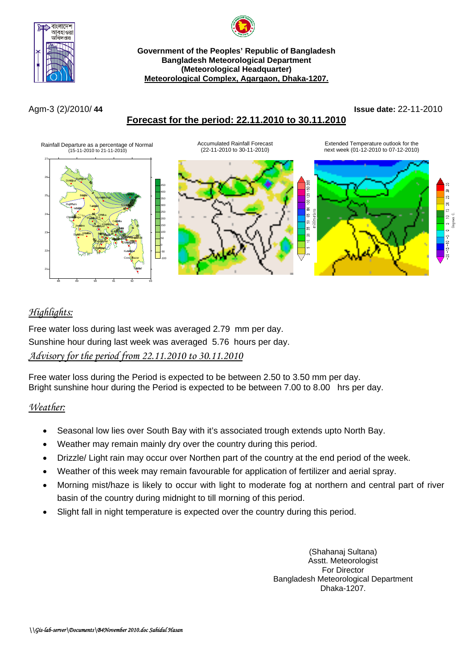



#### **Government of the Peoples' Republic of Bangladesh Bangladesh Meteorological Department (Meteorological Headquarter) Meteorological Complex, Agargaon, Dhaka-1207.**

# **Forecast for the period: 22.11.2010 to 30.11.2010**

Agm-3 (2)/2010/ **44 Issue date:** 22-11-2010



# *Highlights:*

Free water loss during last week was averaged 2.79 mm per day. Sunshine hour during last week was averaged 5.76 hours per day. *Advisory for the period from 22.11.2010 to 30.11.2010*

Free water loss during the Period is expected to be between 2.50 to 3.50 mm per day. Bright sunshine hour during the Period is expected to be between 7.00 to 8.00 hrs per day.

## *Weather:*

- Seasonal low lies over South Bay with it's associated trough extends upto North Bay.
- Weather may remain mainly dry over the country during this period.
- Drizzle/ Light rain may occur over Northen part of the country at the end period of the week.
- Weather of this week may remain favourable for application of fertilizer and aerial spray.
- Morning mist/haze is likely to occur with light to moderate fog at northern and central part of river basin of the country during midnight to till morning of this period.
- Slight fall in night temperature is expected over the country during this period.

(Shahanaj Sultana) Asstt. Meteorologist For Director Bangladesh Meteorological Department Dhaka-1207.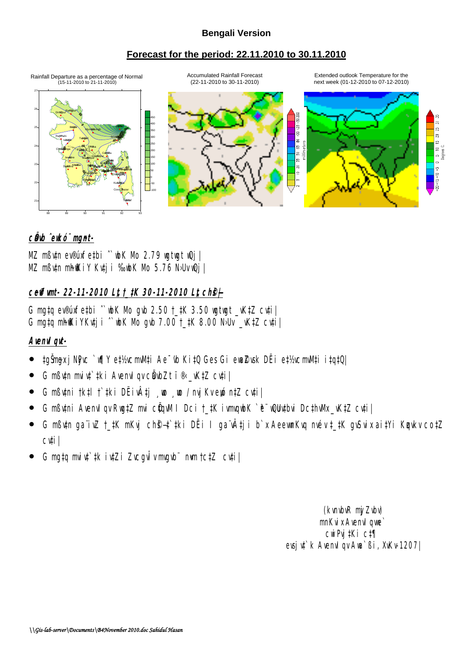#### **Bengali Version**

#### **Forecast for the period: 22.11.2010 to 30.11.2010**

Rainfall Departure as a percentage of Normal Accumulated Rainfall Foreca<br>(15-11-2010 to 21-11-2010) (22-11-2010 to 30-11-2010)

Accumulated Rainfall Forecast Extended outlook Temperature for the (22-11-2010 to 30-11-2010) next week (01-12-2010 to 07-12-2010)



#### c**Ö**b ̂ekó¨ mgnt-

MZ mßv‡n ev®úxfe‡bi ˆ`wbK Mo 2.79 wgtwgt wQj| MZ mßutn mh@KiY Kuti i %bK Mb 5.76 N·Uv@j |

## **ceffunt- 22-11-2010 Lt t\_#K 30-11-2010 Lt ch@** $\neq$

G mg‡q ev®úxfe‡bi  $\degree$  wk Nb qub 2.50  $\uparrow$  #K 3.50 wgtwgt \_vK‡Z cv‡i G mata m $\frac{d}{dx}$ iyk $\frac{d}{dx}$ i  $\hat{ }$  wk Nb avb 7.00  $\uparrow$   $\uparrow$  8.00 Nbv  $\frac{d}{dx}$  cv $\uparrow$ i

### **AvenvIqvt-**

- ‡gŠm~gx jNyPvc `w¶Y e‡½vcmvM‡i Ae¯'vb Ki‡Q Ges Gi ewa©Zvsk DËi e‡½vcmvM‡i i‡q‡Q|
- G mßyth muivt tki Avenvigv cë b Zt î $\mathbb R$  \_vKtZ cyti
- $\bullet$  G mß $\psi$ ni †k‡l † ‡ki DËivÂ $\sharp$ j  $\bullet$   $\bullet$  / m $\sharp$ Kve $\phi$  n‡Z cv $\sharp$ i
- G mßytni AvenvIgv Rwg‡Z mai cÖqvM I Dci †\_#K ivmgybK `ê¨ wQub#bvi Dc#nWk\_vK#Z cv‡i|
- $\bullet$  G m $\beta$ vh gaïivZ †\_‡K mKvj ch $\theta$ +;̃‡ki DËi I gaïvÂ $\sharp$ ji b`x AeevmKvq mév ‡\_‡K gvSvix ai‡Yi Kunkv co‡Z cv‡i|
- G mg‡q mivî ‡k iv‡Zi ZvcgvÎv mgwë mvn †c‡Z cv‡i|

(kvnbvR miZubu) mnKvix Avenvious cwiPvj‡Ki c‡¶ evsju<sup>+</sup> k AvenuI qv Ava<sup>+</sup> ßi, XvKv-1207|